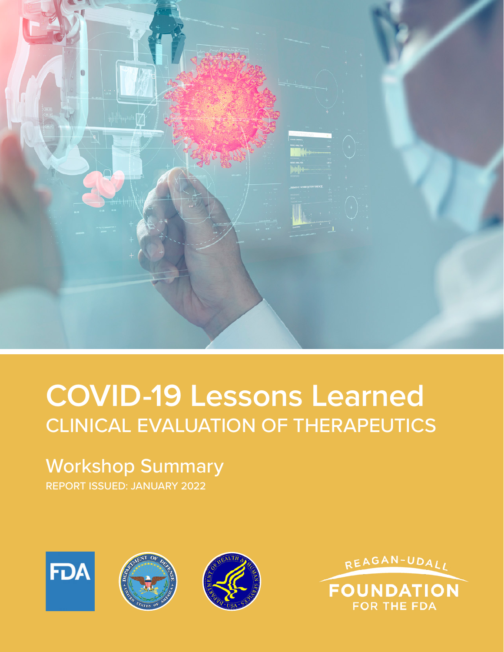

# **COVID-19 Lessons Learned** CLINICAL EVALUATION OF THERAPEUTICS

# Workshop Summary

REPORT ISSUED: JANUARY 2022



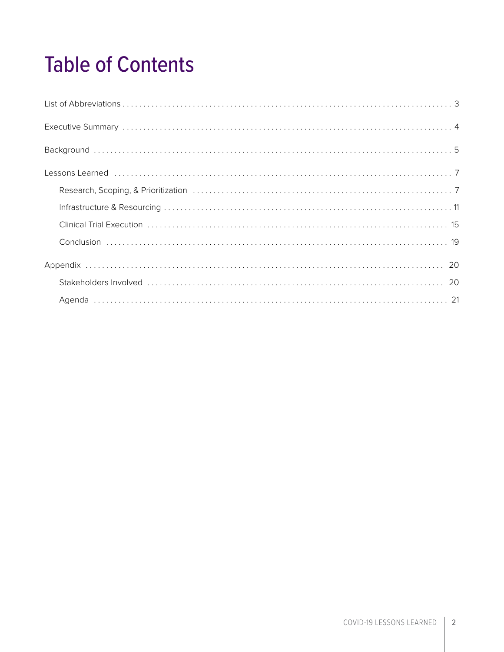# Table of Contents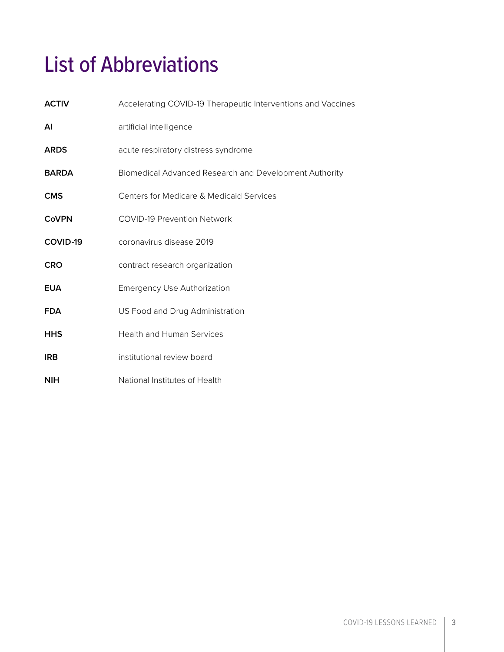# <span id="page-2-0"></span>List of Abbreviations

| <b>ACTIV</b> | Accelerating COVID-19 Therapeutic Interventions and Vaccines |  |  |
|--------------|--------------------------------------------------------------|--|--|
| ΑI           | artificial intelligence                                      |  |  |
| <b>ARDS</b>  | acute respiratory distress syndrome                          |  |  |
| <b>BARDA</b> | Biomedical Advanced Research and Development Authority       |  |  |
| <b>CMS</b>   | Centers for Medicare & Medicaid Services                     |  |  |
| <b>CoVPN</b> | <b>COVID-19 Prevention Network</b>                           |  |  |
| COVID-19     | coronavirus disease 2019                                     |  |  |
| <b>CRO</b>   | contract research organization                               |  |  |
| <b>EUA</b>   | <b>Emergency Use Authorization</b>                           |  |  |
| <b>FDA</b>   | US Food and Drug Administration                              |  |  |
| <b>HHS</b>   | <b>Health and Human Services</b>                             |  |  |
| <b>IRB</b>   | institutional review board                                   |  |  |
| <b>NIH</b>   | National Institutes of Health                                |  |  |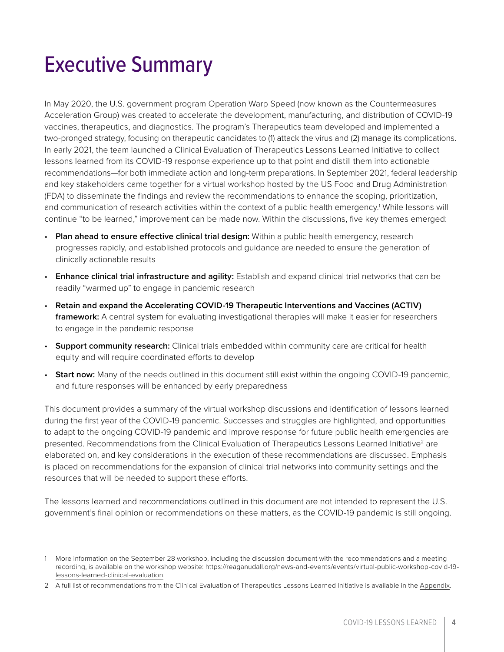# <span id="page-3-0"></span>Executive Summary

In May 2020, the U.S. government program Operation Warp Speed (now known as the Countermeasures Acceleration Group) was created to accelerate the development, manufacturing, and distribution of COVID-19 vaccines, therapeutics, and diagnostics. The program's Therapeutics team developed and implemented a two-pronged strategy, focusing on therapeutic candidates to (1) attack the virus and (2) manage its complications. In early 2021, the team launched a Clinical Evaluation of Therapeutics Lessons Learned Initiative to collect lessons learned from its COVID-19 response experience up to that point and distill them into actionable recommendations—for both immediate action and long-term preparations. In September 2021, federal leadership and key stakeholders came together for a virtual workshop hosted by the US Food and Drug Administration (FDA) to disseminate the findings and review the recommendations to enhance the scoping, prioritization, and communication of research activities within the context of a public health emergency.<sup>1</sup> While lessons will continue "to be learned," improvement can be made now. Within the discussions, five key themes emerged:

- **Plan ahead to ensure effective clinical trial design:** Within a public health emergency, research progresses rapidly, and established protocols and guidance are needed to ensure the generation of clinically actionable results
- **Enhance clinical trial infrastructure and agility:** Establish and expand clinical trial networks that can be readily "warmed up" to engage in pandemic research
- **Retain and expand the Accelerating COVID-19 Therapeutic Interventions and Vaccines (ACTIV) framework:** A central system for evaluating investigational therapies will make it easier for researchers to engage in the pandemic response
- **Support community research:** Clinical trials embedded within community care are critical for health equity and will require coordinated efforts to develop
- **Start now:** Many of the needs outlined in this document still exist within the ongoing COVID-19 pandemic, and future responses will be enhanced by early preparedness

This document provides a summary of the virtual workshop discussions and identification of lessons learned during the first year of the COVID-19 pandemic. Successes and struggles are highlighted, and opportunities to adapt to the ongoing COVID-19 pandemic and improve response for future public health emergencies are presented. Recommendations from the Clinical Evaluation of Therapeutics Lessons Learned Initiative<sup>2</sup> are elaborated on, and key considerations in the execution of these recommendations are discussed. Emphasis is placed on recommendations for the expansion of clinical trial networks into community settings and the resources that will be needed to support these efforts.

The lessons learned and recommendations outlined in this document are not intended to represent the U.S. government's final opinion or recommendations on these matters, as the COVID-19 pandemic is still ongoing.

<sup>1</sup> More information on the September 28 workshop, including the discussion document with the recommendations and a meeting recording, is available on the workshop website: [https://reaganudall.org/news-and-events/events/virtual-public-workshop-covid-19](https://reaganudall.org/news-and-events/events/virtual-public-workshop-covid-19-lessons-learned-clinical-evaluation) [lessons-learned-clinical-evaluation](https://reaganudall.org/news-and-events/events/virtual-public-workshop-covid-19-lessons-learned-clinical-evaluation).

<sup>2</sup> A full list of recommendations from the Clinical Evaluation of Therapeutics Lessons Learned Initiative is available in the [Appendix.](#page-19-0)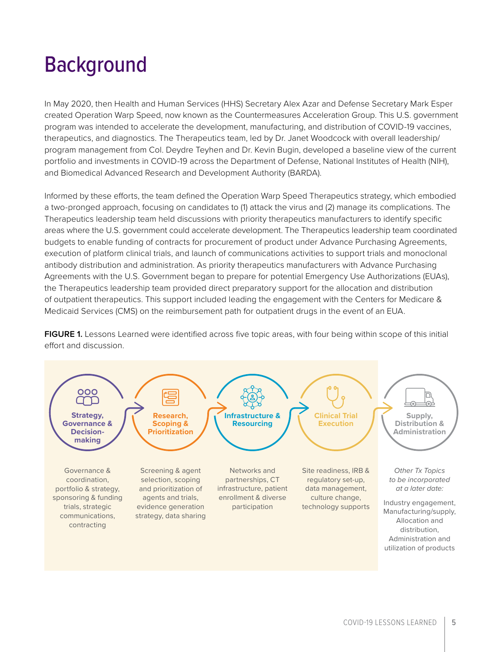# <span id="page-4-0"></span>**Background**

In May 2020, then Health and Human Services (HHS) Secretary Alex Azar and Defense Secretary Mark Esper created Operation Warp Speed, now known as the Countermeasures Acceleration Group. This U.S. government program was intended to accelerate the development, manufacturing, and distribution of COVID-19 vaccines, therapeutics, and diagnostics. The Therapeutics team, led by Dr. Janet Woodcock with overall leadership/ program management from Col. Deydre Teyhen and Dr. Kevin Bugin, developed a baseline view of the current portfolio and investments in COVID-19 across the Department of Defense, National Institutes of Health (NIH), and Biomedical Advanced Research and Development Authority (BARDA).

Informed by these efforts, the team defined the Operation Warp Speed Therapeutics strategy, which embodied a two-pronged approach, focusing on candidates to (1) attack the virus and (2) manage its complications. The Therapeutics leadership team held discussions with priority therapeutics manufacturers to identify specific areas where the U.S. government could accelerate development. The Therapeutics leadership team coordinated budgets to enable funding of contracts for procurement of product under Advance Purchasing Agreements, execution of platform clinical trials, and launch of communications activities to support trials and monoclonal antibody distribution and administration. As priority therapeutics manufacturers with Advance Purchasing Agreements with the U.S. Government began to prepare for potential Emergency Use Authorizations (EUAs), the Therapeutics leadership team provided direct preparatory support for the allocation and distribution of outpatient therapeutics. This support included leading the engagement with the Centers for Medicare & Medicaid Services (CMS) on the reimbursement path for outpatient drugs in the event of an EUA.

**FIGURE 1.** Lessons Learned were identified across five topic areas, with four being within scope of this initial effort and discussion.

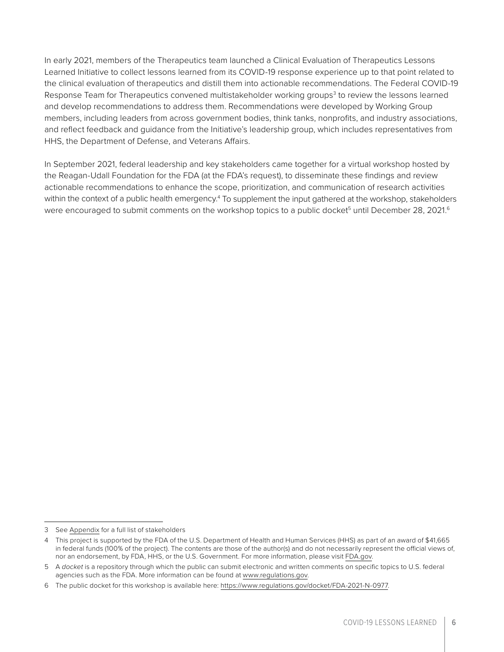In early 2021, members of the Therapeutics team launched a Clinical Evaluation of Therapeutics Lessons Learned Initiative to collect lessons learned from its COVID-19 response experience up to that point related to the clinical evaluation of therapeutics and distill them into actionable recommendations. The Federal COVID-19 Response Team for Therapeutics convened multistakeholder working groups<sup>3</sup> to review the lessons learned and develop recommendations to address them. Recommendations were developed by Working Group members, including leaders from across government bodies, think tanks, nonprofits, and industry associations, and reflect feedback and guidance from the Initiative's leadership group, which includes representatives from HHS, the Department of Defense, and Veterans Affairs.

In September 2021, federal leadership and key stakeholders came together for a virtual workshop hosted by the Reagan-Udall Foundation for the FDA (at the FDA's request), to disseminate these findings and review actionable recommendations to enhance the scope, prioritization, and communication of research activities within the context of a public health emergency.<sup>4</sup> To supplement the input gathered at the workshop, stakeholders were encouraged to submit comments on the workshop topics to a public docket<sup>5</sup> until December 28, 2021.<sup>6</sup>

<sup>3</sup> See [Appendix](#page-19-0) for a full list of stakeholders

<sup>4</sup> This project is supported by the FDA of the U.S. Department of Health and Human Services (HHS) as part of an award of \$41,665 in federal funds (100% of the project). The contents are those of the author(s) and do not necessarily represent the official views of, nor an endorsement, by FDA, HHS, or the U.S. Government. For more information, please visit [FDA.gov.](http://fda.gov/)

<sup>5</sup> A *docket* is a repository through which the public can submit electronic and written comments on specific topics to U.S. federal agencies such as the FDA. More information can be found at [www.regulations.gov.](http://www.regulations.gov/)

<sup>6</sup> The public docket for this workshop is available here:<https://www.regulations.gov/docket/FDA-2021-N-0977>.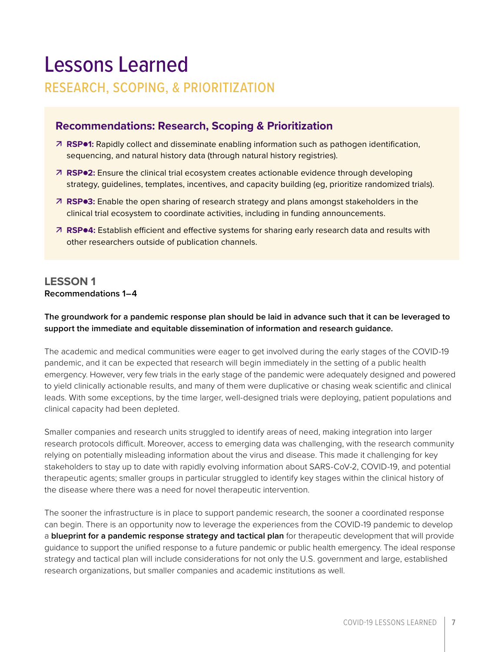# <span id="page-6-0"></span>Lessons Learned

## RESEARCH, SCOPING, & PRIORITIZATION

## **Recommendations: Research, Scoping & Prioritization**

- **RSP1:** Rapidly collect and disseminate enabling information such as pathogen identification, sequencing, and natural history data (through natural history registries).
- **RSP2:** Ensure the clinical trial ecosystem creates actionable evidence through developing strategy, guidelines, templates, incentives, and capacity building (eg, prioritize randomized trials).
- **RSP3:** Enable the open sharing of research strategy and plans amongst stakeholders in the clinical trial ecosystem to coordinate activities, including in funding announcements.
- **RSP4:** Establish efficient and effective systems for sharing early research data and results with other researchers outside of publication channels.

### **LESSON 1 Recommendations 1–4**

#### **The groundwork for a pandemic response plan should be laid in advance such that it can be leveraged to support the immediate and equitable dissemination of information and research guidance.**

The academic and medical communities were eager to get involved during the early stages of the COVID-19 pandemic, and it can be expected that research will begin immediately in the setting of a public health emergency. However, very few trials in the early stage of the pandemic were adequately designed and powered to yield clinically actionable results, and many of them were duplicative or chasing weak scientific and clinical leads. With some exceptions, by the time larger, well-designed trials were deploying, patient populations and clinical capacity had been depleted.

Smaller companies and research units struggled to identify areas of need, making integration into larger research protocols difficult. Moreover, access to emerging data was challenging, with the research community relying on potentially misleading information about the virus and disease. This made it challenging for key stakeholders to stay up to date with rapidly evolving information about SARS-CoV-2, COVID-19, and potential therapeutic agents; smaller groups in particular struggled to identify key stages within the clinical history of the disease where there was a need for novel therapeutic intervention.

The sooner the infrastructure is in place to support pandemic research, the sooner a coordinated response can begin. There is an opportunity now to leverage the experiences from the COVID-19 pandemic to develop a **blueprint for a pandemic response strategy and tactical plan** for therapeutic development that will provide guidance to support the unified response to a future pandemic or public health emergency. The ideal response strategy and tactical plan will include considerations for not only the U.S. government and large, established research organizations, but smaller companies and academic institutions as well.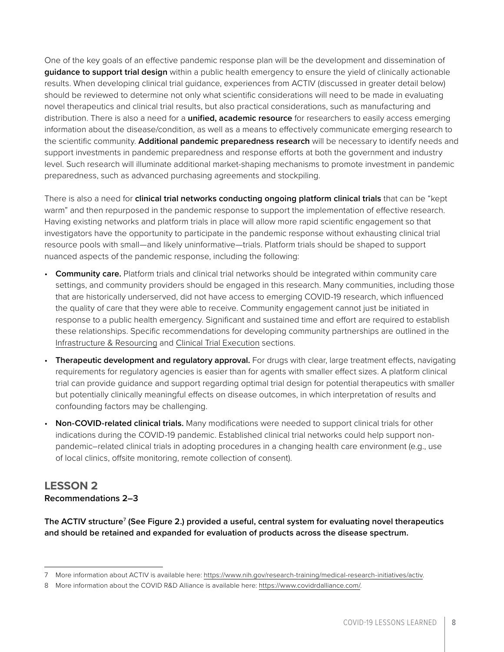One of the key goals of an effective pandemic response plan will be the development and dissemination of **guidance to support trial design** within a public health emergency to ensure the yield of clinically actionable results. When developing clinical trial guidance, experiences from ACTIV (discussed in greater detail below) should be reviewed to determine not only what scientific considerations will need to be made in evaluating novel therapeutics and clinical trial results, but also practical considerations, such as manufacturing and distribution. There is also a need for a **unified, academic resource** for researchers to easily access emerging information about the disease/condition, as well as a means to effectively communicate emerging research to the scientific community. **Additional pandemic preparedness research** will be necessary to identify needs and support investments in pandemic preparedness and response efforts at both the government and industry level. Such research will illuminate additional market-shaping mechanisms to promote investment in pandemic preparedness, such as advanced purchasing agreements and stockpiling.

There is also a need for **clinical trial networks conducting ongoing platform clinical trials** that can be "kept warm" and then repurposed in the pandemic response to support the implementation of effective research. Having existing networks and platform trials in place will allow more rapid scientific engagement so that investigators have the opportunity to participate in the pandemic response without exhausting clinical trial resource pools with small—and likely uninformative—trials. Platform trials should be shaped to support nuanced aspects of the pandemic response, including the following:

- **Community care.** Platform trials and clinical trial networks should be integrated within community care settings, and community providers should be engaged in this research. Many communities, including those that are historically underserved, did not have access to emerging COVID-19 research, which influenced the quality of care that they were able to receive. Community engagement cannot just be initiated in response to a public health emergency. Significant and sustained time and effort are required to establish these relationships. Specific recommendations for developing community partnerships are outlined in the [Infrastructure & Resourcing](#page-10-0) and [Clinical Trial Execution](#page-14-0) sections.
- **Therapeutic development and regulatory approval.** For drugs with clear, large treatment effects, navigating requirements for regulatory agencies is easier than for agents with smaller effect sizes. A platform clinical trial can provide guidance and support regarding optimal trial design for potential therapeutics with smaller but potentially clinically meaningful effects on disease outcomes, in which interpretation of results and confounding factors may be challenging.
- **Non-COVID-related clinical trials.** Many modifications were needed to support clinical trials for other indications during the COVID-19 pandemic. Established clinical trial networks could help support nonpandemic–related clinical trials in adopting procedures in a changing health care environment (e.g., use of local clinics, offsite monitoring, remote collection of consent).

## **LESSON 2 Recommendations 2–3**

**The ACTIV structure**<sup>7</sup>  **(See Figure 2.) provided a useful, central system for evaluating novel therapeutics and should be retained and expanded for evaluation of products across the disease spectrum.**

<sup>7</sup> More information about ACTIV is available here: [https://www.nih.gov/research-training/medical-research-initiatives/activ.](https://www.nih.gov/research-training/medical-research-initiatives/activ)

<sup>8</sup> More information about the COVID R&D Alliance is available here: [https://www.covidrdalliance.com/.](https://www.covidrdalliance.com/)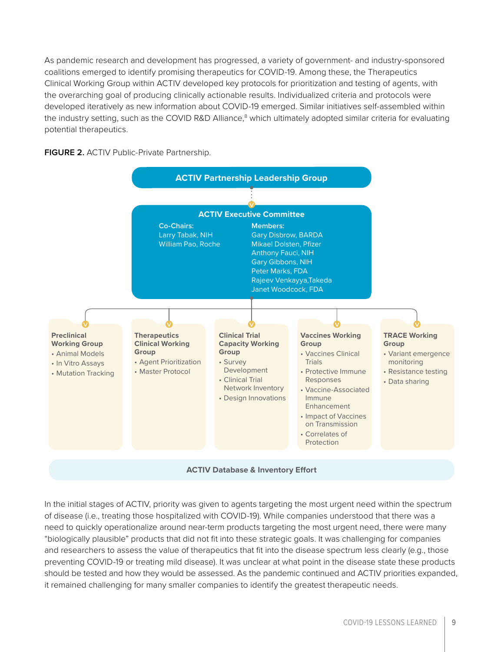As pandemic research and development has progressed, a variety of government- and industry-sponsored coalitions emerged to identify promising therapeutics for COVID-19. Among these, the Therapeutics Clinical Working Group within ACTIV developed key protocols for prioritization and testing of agents, with the overarching goal of producing clinically actionable results. Individualized criteria and protocols were developed iteratively as new information about COVID-19 emerged. Similar initiatives self-assembled within the industry setting, such as the COVID R&D Alliance,<sup>8</sup> which ultimately adopted similar criteria for evaluating potential therapeutics.





In the initial stages of ACTIV, priority was given to agents targeting the most urgent need within the spectrum of disease (i.e., treating those hospitalized with COVID-19). While companies understood that there was a need to quickly operationalize around near-term products targeting the most urgent need, there were many "biologically plausible" products that did not fit into these strategic goals. It was challenging for companies and researchers to assess the value of therapeutics that fit into the disease spectrum less clearly (e.g., those preventing COVID-19 or treating mild disease). It was unclear at what point in the disease state these products should be tested and how they would be assessed. As the pandemic continued and ACTIV priorities expanded, it remained challenging for many smaller companies to identify the greatest therapeutic needs.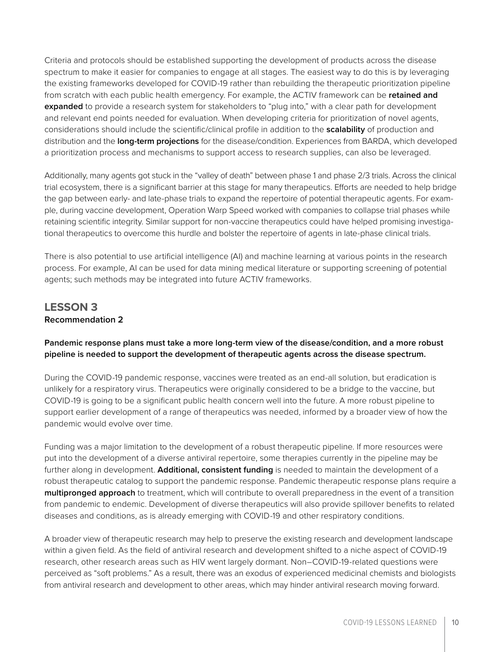Criteria and protocols should be established supporting the development of products across the disease spectrum to make it easier for companies to engage at all stages. The easiest way to do this is by leveraging the existing frameworks developed for COVID-19 rather than rebuilding the therapeutic prioritization pipeline from scratch with each public health emergency. For example, the ACTIV framework can be **retained and expanded** to provide a research system for stakeholders to "plug into," with a clear path for development and relevant end points needed for evaluation. When developing criteria for prioritization of novel agents, considerations should include the scientific/clinical profile in addition to the **scalability** of production and distribution and the **long-term projections** for the disease/condition. Experiences from BARDA, which developed a prioritization process and mechanisms to support access to research supplies, can also be leveraged.

Additionally, many agents got stuck in the "valley of death" between phase 1 and phase 2/3 trials. Across the clinical trial ecosystem, there is a significant barrier at this stage for many therapeutics. Efforts are needed to help bridge the gap between early- and late-phase trials to expand the repertoire of potential therapeutic agents. For example, during vaccine development, Operation Warp Speed worked with companies to collapse trial phases while retaining scientific integrity. Similar support for non-vaccine therapeutics could have helped promising investigational therapeutics to overcome this hurdle and bolster the repertoire of agents in late-phase clinical trials.

There is also potential to use artificial intelligence (AI) and machine learning at various points in the research process. For example, AI can be used for data mining medical literature or supporting screening of potential agents; such methods may be integrated into future ACTIV frameworks.

### **LESSON 3 Recommendation 2**

**Pandemic response plans must take a more long-term view of the disease/condition, and a more robust pipeline is needed to support the development of therapeutic agents across the disease spectrum.**

During the COVID-19 pandemic response, vaccines were treated as an end-all solution, but eradication is unlikely for a respiratory virus. Therapeutics were originally considered to be a bridge to the vaccine, but COVID-19 is going to be a significant public health concern well into the future. A more robust pipeline to support earlier development of a range of therapeutics was needed, informed by a broader view of how the pandemic would evolve over time.

Funding was a major limitation to the development of a robust therapeutic pipeline. If more resources were put into the development of a diverse antiviral repertoire, some therapies currently in the pipeline may be further along in development. **Additional, consistent funding** is needed to maintain the development of a robust therapeutic catalog to support the pandemic response. Pandemic therapeutic response plans require a **multipronged approach** to treatment, which will contribute to overall preparedness in the event of a transition from pandemic to endemic. Development of diverse therapeutics will also provide spillover benefits to related diseases and conditions, as is already emerging with COVID-19 and other respiratory conditions.

A broader view of therapeutic research may help to preserve the existing research and development landscape within a given field. As the field of antiviral research and development shifted to a niche aspect of COVID-19 research, other research areas such as HIV went largely dormant. Non–COVID-19-related questions were perceived as "soft problems." As a result, there was an exodus of experienced medicinal chemists and biologists from antiviral research and development to other areas, which may hinder antiviral research moving forward.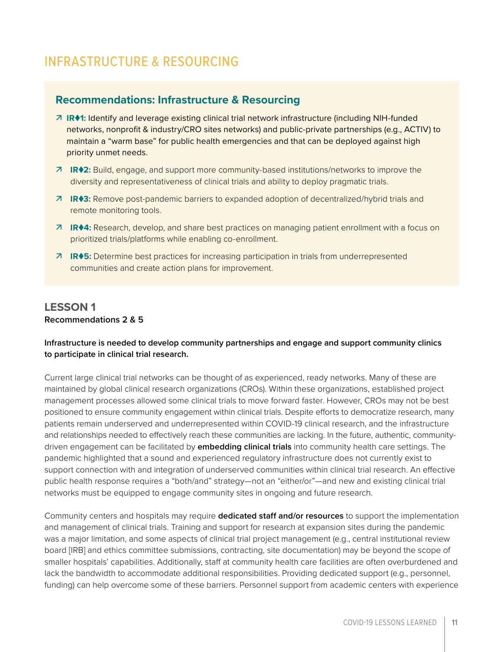# <span id="page-10-0"></span>INFRASTRUCTURE & RESOURCING

#### **Recommendations: Infrastructure & Resourcing**

- **IR1:** Identify and leverage existing clinical trial network infrastructure (including NIH-funded networks, nonprofit & industry/CRO sites networks) and public-private partnerships (e.g., ACTIV) to maintain a "warm base" for public health emergencies and that can be deployed against high priority unmet needs.
- **IR2:** Build, engage, and support more community-based institutions/networks to improve the diversity and representativeness of clinical trials and ability to deploy pragmatic trials.
- **IR3:** Remove post-pandemic barriers to expanded adoption of decentralized/hybrid trials and remote monitoring tools.
- **IR4:** Research, develop, and share best practices on managing patient enrollment with a focus on prioritized trials/platforms while enabling co-enrollment.
- **IR5:** Determine best practices for increasing participation in trials from underrepresented communities and create action plans for improvement.

### **LESSON 1 Recommendations 2 & 5**

#### **Infrastructure is needed to develop community partnerships and engage and support community clinics to participate in clinical trial research.**

Current large clinical trial networks can be thought of as experienced, ready networks. Many of these are maintained by global clinical research organizations (CROs). Within these organizations, established project management processes allowed some clinical trials to move forward faster. However, CROs may not be best positioned to ensure community engagement within clinical trials. Despite efforts to democratize research, many patients remain underserved and underrepresented within COVID-19 clinical research, and the infrastructure and relationships needed to effectively reach these communities are lacking. In the future, authentic, communitydriven engagement can be facilitated by **embedding clinical trials** into community health care settings. The pandemic highlighted that a sound and experienced regulatory infrastructure does not currently exist to support connection with and integration of underserved communities within clinical trial research. An effective public health response requires a "both/and" strategy—not an "either/or"—and new and existing clinical trial networks must be equipped to engage community sites in ongoing and future research.

Community centers and hospitals may require **dedicated staff and/or resources** to support the implementation and management of clinical trials. Training and support for research at expansion sites during the pandemic was a major limitation, and some aspects of clinical trial project management (e.g., central institutional review board [IRB] and ethics committee submissions, contracting, site documentation) may be beyond the scope of smaller hospitals' capabilities. Additionally, staff at community health care facilities are often overburdened and lack the bandwidth to accommodate additional responsibilities. Providing dedicated support (e.g., personnel, funding) can help overcome some of these barriers. Personnel support from academic centers with experience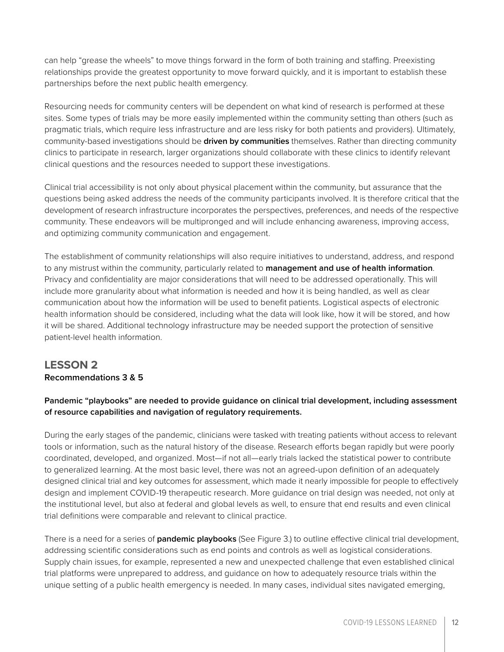can help "grease the wheels" to move things forward in the form of both training and staffing. Preexisting relationships provide the greatest opportunity to move forward quickly, and it is important to establish these partnerships before the next public health emergency.

Resourcing needs for community centers will be dependent on what kind of research is performed at these sites. Some types of trials may be more easily implemented within the community setting than others (such as pragmatic trials, which require less infrastructure and are less risky for both patients and providers). Ultimately, community-based investigations should be **driven by communities** themselves. Rather than directing community clinics to participate in research, larger organizations should collaborate with these clinics to identify relevant clinical questions and the resources needed to support these investigations.

Clinical trial accessibility is not only about physical placement within the community, but assurance that the questions being asked address the needs of the community participants involved. It is therefore critical that the development of research infrastructure incorporates the perspectives, preferences, and needs of the respective community. These endeavors will be multipronged and will include enhancing awareness, improving access, and optimizing community communication and engagement.

The establishment of community relationships will also require initiatives to understand, address, and respond to any mistrust within the community, particularly related to **management and use of health information**. Privacy and confidentiality are major considerations that will need to be addressed operationally. This will include more granularity about what information is needed and how it is being handled, as well as clear communication about how the information will be used to benefit patients. Logistical aspects of electronic health information should be considered, including what the data will look like, how it will be stored, and how it will be shared. Additional technology infrastructure may be needed support the protection of sensitive patient-level health information.

## **LESSON 2 Recommendations 3 & 5**

#### **Pandemic "playbooks" are needed to provide guidance on clinical trial development, including assessment of resource capabilities and navigation of regulatory requirements.**

During the early stages of the pandemic, clinicians were tasked with treating patients without access to relevant tools or information, such as the natural history of the disease. Research efforts began rapidly but were poorly coordinated, developed, and organized. Most—if not all—early trials lacked the statistical power to contribute to generalized learning. At the most basic level, there was not an agreed-upon definition of an adequately designed clinical trial and key outcomes for assessment, which made it nearly impossible for people to effectively design and implement COVID-19 therapeutic research. More guidance on trial design was needed, not only at the institutional level, but also at federal and global levels as well, to ensure that end results and even clinical trial definitions were comparable and relevant to clinical practice.

There is a need for a series of **pandemic playbooks** (See Figure 3.) to outline effective clinical trial development, addressing scientific considerations such as end points and controls as well as logistical considerations. Supply chain issues, for example, represented a new and unexpected challenge that even established clinical trial platforms were unprepared to address, and guidance on how to adequately resource trials within the unique setting of a public health emergency is needed. In many cases, individual sites navigated emerging,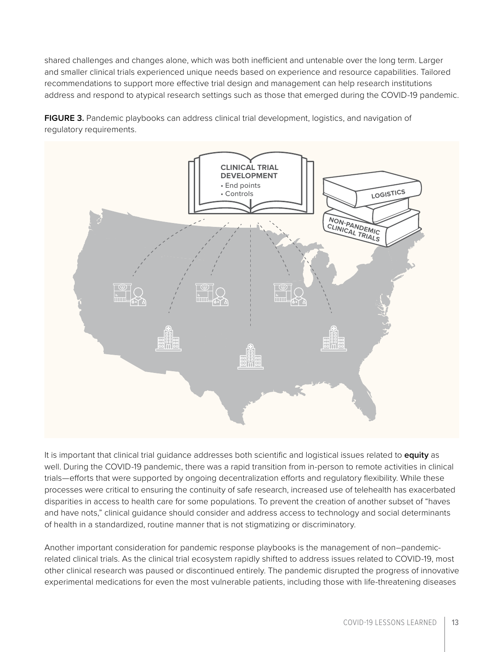shared challenges and changes alone, which was both inefficient and untenable over the long term. Larger and smaller clinical trials experienced unique needs based on experience and resource capabilities. Tailored recommendations to support more effective trial design and management can help research institutions address and respond to atypical research settings such as those that emerged during the COVID-19 pandemic.

**FIGURE 3.** Pandemic playbooks can address clinical trial development, logistics, and navigation of regulatory requirements.



It is important that clinical trial guidance addresses both scientific and logistical issues related to **equity** as well. During the COVID-19 pandemic, there was a rapid transition from in-person to remote activities in clinical trials—efforts that were supported by ongoing decentralization efforts and regulatory flexibility. While these processes were critical to ensuring the continuity of safe research, increased use of telehealth has exacerbated disparities in access to health care for some populations. To prevent the creation of another subset of "haves and have nots," clinical guidance should consider and address access to technology and social determinants of health in a standardized, routine manner that is not stigmatizing or discriminatory.

Another important consideration for pandemic response playbooks is the management of non–pandemicrelated clinical trials. As the clinical trial ecosystem rapidly shifted to address issues related to COVID-19, most other clinical research was paused or discontinued entirely. The pandemic disrupted the progress of innovative experimental medications for even the most vulnerable patients, including those with life-threatening diseases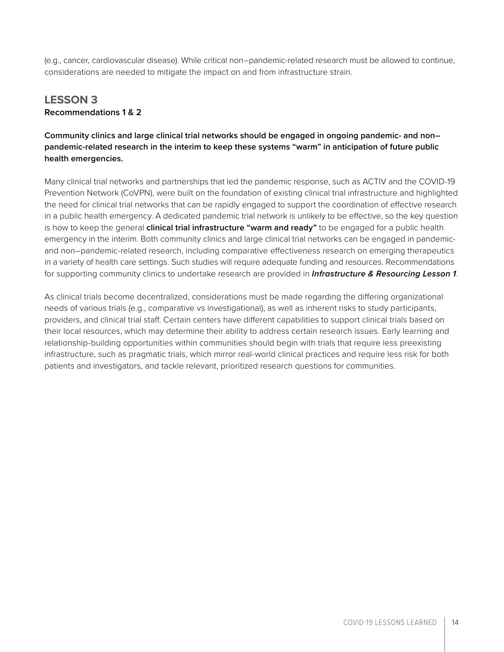(e.g., cancer, cardiovascular disease). While critical non–pandemic-related research must be allowed to continue, considerations are needed to mitigate the impact on and from infrastructure strain.

### **LESSON 3 Recommendations 1 & 2**

#### **Community clinics and large clinical trial networks should be engaged in ongoing pandemic- and non– pandemic-related research in the interim to keep these systems "warm" in anticipation of future public health emergencies.**

Many clinical trial networks and partnerships that led the pandemic response, such as ACTIV and the COVID-19 Prevention Network (CoVPN), were built on the foundation of existing clinical trial infrastructure and highlighted the need for clinical trial networks that can be rapidly engaged to support the coordination of effective research in a public health emergency. A dedicated pandemic trial network is unlikely to be effective, so the key question is how to keep the general **clinical trial infrastructure "warm and ready"** to be engaged for a public health emergency in the interim. Both community clinics and large clinical trial networks can be engaged in pandemicand non–pandemic-related research, including comparative effectiveness research on emerging therapeutics in a variety of health care settings. Such studies will require adequate funding and resources. Recommendations for supporting community clinics to undertake research are provided in *Infrastructure & Resourcing Lesson 1*.

As clinical trials become decentralized, considerations must be made regarding the differing organizational needs of various trials (e.g., comparative vs investigational), as well as inherent risks to study participants, providers, and clinical trial staff. Certain centers have different capabilities to support clinical trials based on their local resources, which may determine their ability to address certain research issues. Early learning and relationship-building opportunities within communities should begin with trials that require less preexisting infrastructure, such as pragmatic trials, which mirror real-world clinical practices and require less risk for both patients and investigators, and tackle relevant, prioritized research questions for communities.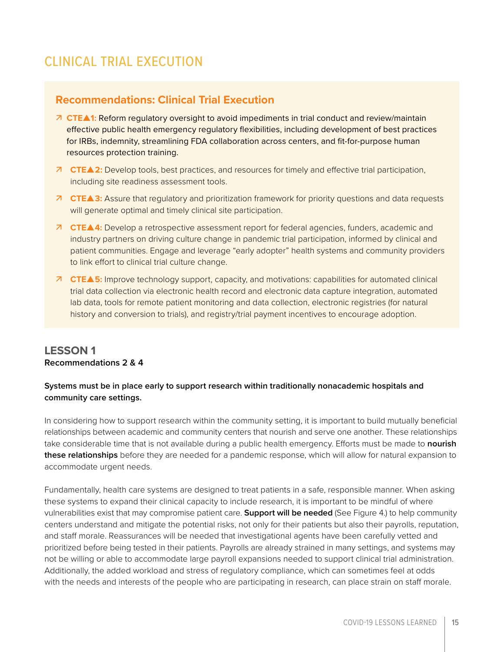# <span id="page-14-0"></span>CLINICAL TRIAL EXECUTION

### **Recommendations: Clinical Trial Execution**

- **CTE1:** Reform regulatory oversight to avoid impediments in trial conduct and review/maintain effective public health emergency regulatory flexibilities, including development of best practices for IRBs, indemnity, streamlining FDA collaboration across centers, and fit-for-purpose human resources protection training.
- **CTE2:** Develop tools, best practices, and resources for timely and effective trial participation, including site readiness assessment tools.
- **CTE3:** Assure that regulatory and prioritization framework for priority questions and data requests will generate optimal and timely clinical site participation.
- **CTE4:** Develop a retrospective assessment report for federal agencies, funders, academic and industry partners on driving culture change in pandemic trial participation, informed by clinical and patient communities. Engage and leverage "early adopter" health systems and community providers to link effort to clinical trial culture change.
- **CTE5:** Improve technology support, capacity, and motivations: capabilities for automated clinical trial data collection via electronic health record and electronic data capture integration, automated lab data, tools for remote patient monitoring and data collection, electronic registries (for natural history and conversion to trials), and registry/trial payment incentives to encourage adoption.

### **LESSON 1 Recommendations 2 & 4**

#### **Systems must be in place early to support research within traditionally nonacademic hospitals and community care settings.**

In considering how to support research within the community setting, it is important to build mutually beneficial relationships between academic and community centers that nourish and serve one another. These relationships take considerable time that is not available during a public health emergency. Efforts must be made to **nourish these relationships** before they are needed for a pandemic response, which will allow for natural expansion to accommodate urgent needs.

Fundamentally, health care systems are designed to treat patients in a safe, responsible manner. When asking these systems to expand their clinical capacity to include research, it is important to be mindful of where vulnerabilities exist that may compromise patient care. **Support will be needed** (See Figure 4.) to help community centers understand and mitigate the potential risks, not only for their patients but also their payrolls, reputation, and staff morale. Reassurances will be needed that investigational agents have been carefully vetted and prioritized before being tested in their patients. Payrolls are already strained in many settings, and systems may not be willing or able to accommodate large payroll expansions needed to support clinical trial administration. Additionally, the added workload and stress of regulatory compliance, which can sometimes feel at odds with the needs and interests of the people who are participating in research, can place strain on staff morale.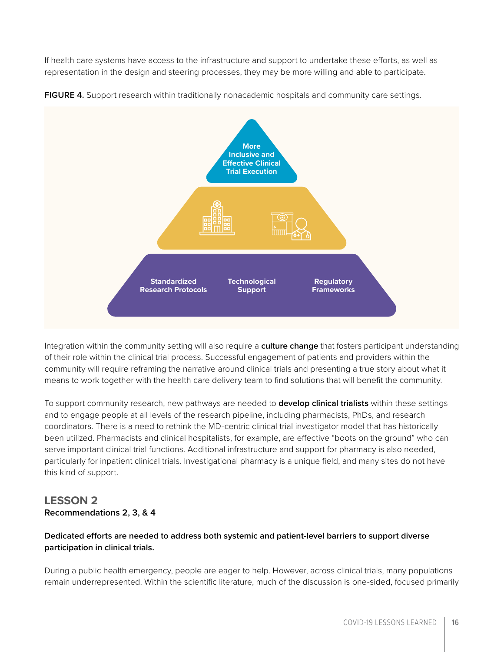If health care systems have access to the infrastructure and support to undertake these efforts, as well as representation in the design and steering processes, they may be more willing and able to participate.



**FIGURE 4.** Support research within traditionally nonacademic hospitals and community care settings.

Integration within the community setting will also require a **culture change** that fosters participant understanding of their role within the clinical trial process. Successful engagement of patients and providers within the community will require reframing the narrative around clinical trials and presenting a true story about what it means to work together with the health care delivery team to find solutions that will benefit the community.

To support community research, new pathways are needed to **develop clinical trialists** within these settings and to engage people at all levels of the research pipeline, including pharmacists, PhDs, and research coordinators. There is a need to rethink the MD-centric clinical trial investigator model that has historically been utilized. Pharmacists and clinical hospitalists, for example, are effective "boots on the ground" who can serve important clinical trial functions. Additional infrastructure and support for pharmacy is also needed, particularly for inpatient clinical trials. Investigational pharmacy is a unique field, and many sites do not have this kind of support.

#### **LESSON 2 Recommendations 2, 3, & 4**

#### **Dedicated efforts are needed to address both systemic and patient-level barriers to support diverse participation in clinical trials.**

During a public health emergency, people are eager to help. However, across clinical trials, many populations remain underrepresented. Within the scientific literature, much of the discussion is one-sided, focused primarily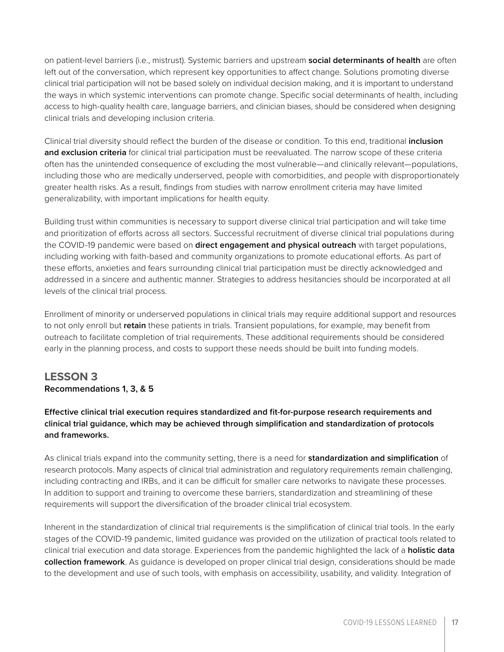on patient-level barriers (i.e., mistrust). Systemic barriers and upstream **social determinants of health** are often left out of the conversation, which represent key opportunities to affect change. Solutions promoting diverse clinical trial participation will not be based solely on individual decision making, and it is important to understand the ways in which systemic interventions can promote change. Specific social determinants of health, including access to high-quality health care, language barriers, and clinician biases, should be considered when designing clinical trials and developing inclusion criteria.

Clinical trial diversity should reflect the burden of the disease or condition. To this end, traditional **inclusion and exclusion criteria** for clinical trial participation must be reevaluated. The narrow scope of these criteria often has the unintended consequence of excluding the most vulnerable—and clinically relevant—populations, including those who are medically underserved, people with comorbidities, and people with disproportionately greater health risks. As a result, findings from studies with narrow enrollment criteria may have limited generalizability, with important implications for health equity.

Building trust within communities is necessary to support diverse clinical trial participation and will take time and prioritization of efforts across all sectors. Successful recruitment of diverse clinical trial populations during the COVID-19 pandemic were based on **direct engagement and physical outreach** with target populations, including working with faith-based and community organizations to promote educational efforts. As part of these efforts, anxieties and fears surrounding clinical trial participation must be directly acknowledged and addressed in a sincere and authentic manner. Strategies to address hesitancies should be incorporated at all levels of the clinical trial process.

Enrollment of minority or underserved populations in clinical trials may require additional support and resources to not only enroll but **retain** these patients in trials. Transient populations, for example, may benefit from outreach to facilitate completion of trial requirements. These additional requirements should be considered early in the planning process, and costs to support these needs should be built into funding models.

### **LESSON 3 Recommendations 1, 3, & 5**

**Effective clinical trial execution requires standardized and fit-for-purpose research requirements and clinical trial guidance, which may be achieved through simplification and standardization of protocols and frameworks.**

As clinical trials expand into the community setting, there is a need for **standardization and simplification** of research protocols. Many aspects of clinical trial administration and regulatory requirements remain challenging, including contracting and IRBs, and it can be difficult for smaller care networks to navigate these processes. In addition to support and training to overcome these barriers, standardization and streamlining of these requirements will support the diversification of the broader clinical trial ecosystem.

Inherent in the standardization of clinical trial requirements is the simplification of clinical trial tools. In the early stages of the COVID-19 pandemic, limited guidance was provided on the utilization of practical tools related to clinical trial execution and data storage. Experiences from the pandemic highlighted the lack of a **holistic data collection framework**. As guidance is developed on proper clinical trial design, considerations should be made to the development and use of such tools, with emphasis on accessibility, usability, and validity. Integration of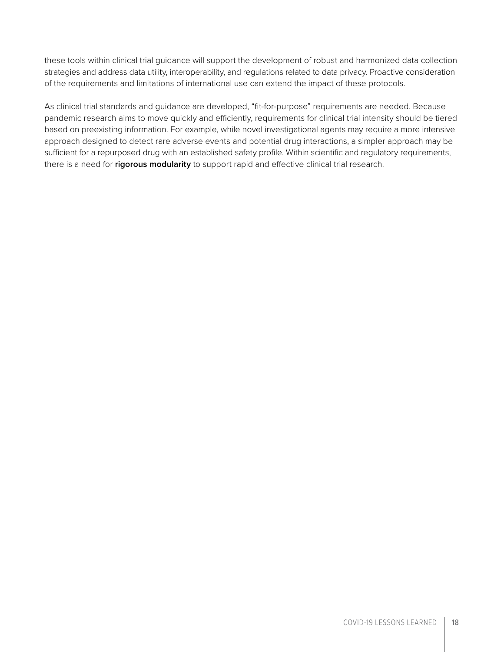these tools within clinical trial guidance will support the development of robust and harmonized data collection strategies and address data utility, interoperability, and regulations related to data privacy. Proactive consideration of the requirements and limitations of international use can extend the impact of these protocols.

As clinical trial standards and guidance are developed, "fit-for-purpose" requirements are needed. Because pandemic research aims to move quickly and efficiently, requirements for clinical trial intensity should be tiered based on preexisting information. For example, while novel investigational agents may require a more intensive approach designed to detect rare adverse events and potential drug interactions, a simpler approach may be sufficient for a repurposed drug with an established safety profile. Within scientific and regulatory requirements, there is a need for **rigorous modularity** to support rapid and effective clinical trial research.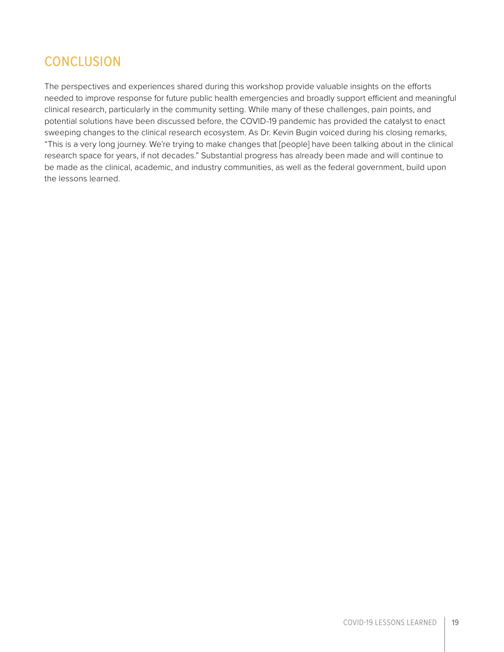# <span id="page-18-0"></span>**CONCLUSION**

The perspectives and experiences shared during this workshop provide valuable insights on the efforts needed to improve response for future public health emergencies and broadly support efficient and meaningful clinical research, particularly in the community setting. While many of these challenges, pain points, and potential solutions have been discussed before, the COVID-19 pandemic has provided the catalyst to enact sweeping changes to the clinical research ecosystem. As Dr. Kevin Bugin voiced during his closing remarks, "This is a very long journey. We're trying to make changes that [people] have been talking about in the clinical research space for years, if not decades." Substantial progress has already been made and will continue to be made as the clinical, academic, and industry communities, as well as the federal government, build upon the lessons learned.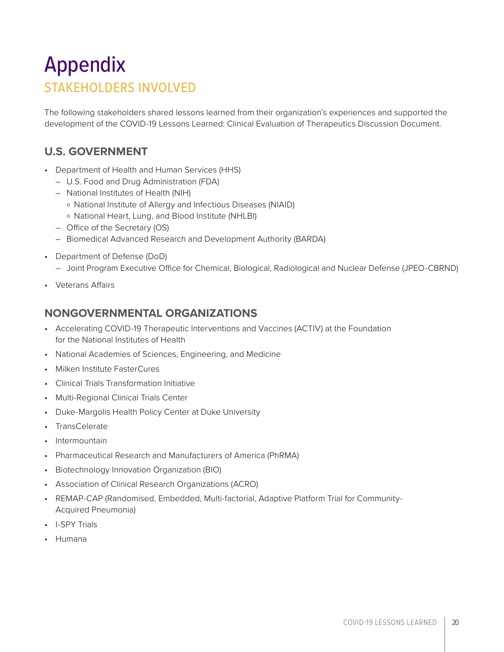# <span id="page-19-0"></span>Appendix STAKEHOLDERS INVOLVED

The following stakeholders shared lessons learned from their organization's experiences and supported the development of the COVID-19 Lessons Learned: Clinical Evaluation of Therapeutics Discussion Document.

## **U.S. GOVERNMENT**

- Department of Health and Human Services (HHS)
	- U.S. Food and Drug Administration (FDA)
	- National Institutes of Health (NIH)
		- º National Institute of Allergy and Infectious Diseases (NIAID)
	- º National Heart, Lung, and Blood Institute (NHLBI)
	- Office of the Secretary (OS)
	- Biomedical Advanced Research and Development Authority (BARDA)
- Department of Defense (DoD)
	- Joint Program Executive Office for Chemical, Biological, Radiological and Nuclear Defense (JPEO-CBRND)
- Veterans Affairs

### **NONGOVERNMENTAL ORGANIZATIONS**

- Accelerating COVID-19 Therapeutic Interventions and Vaccines (ACTIV) at the Foundation for the National Institutes of Health
- National Academies of Sciences, Engineering, and Medicine
- Milken Institute FasterCures
- Clinical Trials Transformation Initiative
- Multi-Regional Clinical Trials Center
- Duke-Margolis Health Policy Center at Duke University
- **TransCelerate**
- Intermountain
- Pharmaceutical Research and Manufacturers of America (PhRMA)
- Biotechnology Innovation Organization (BIO)
- Association of Clinical Research Organizations (ACRO)
- REMAP-CAP (Randomised, Embedded, Multi-factorial, Adaptive Platform Trial for Community-Acquired Pneumonia)
- I-SPY Trials
- Humana